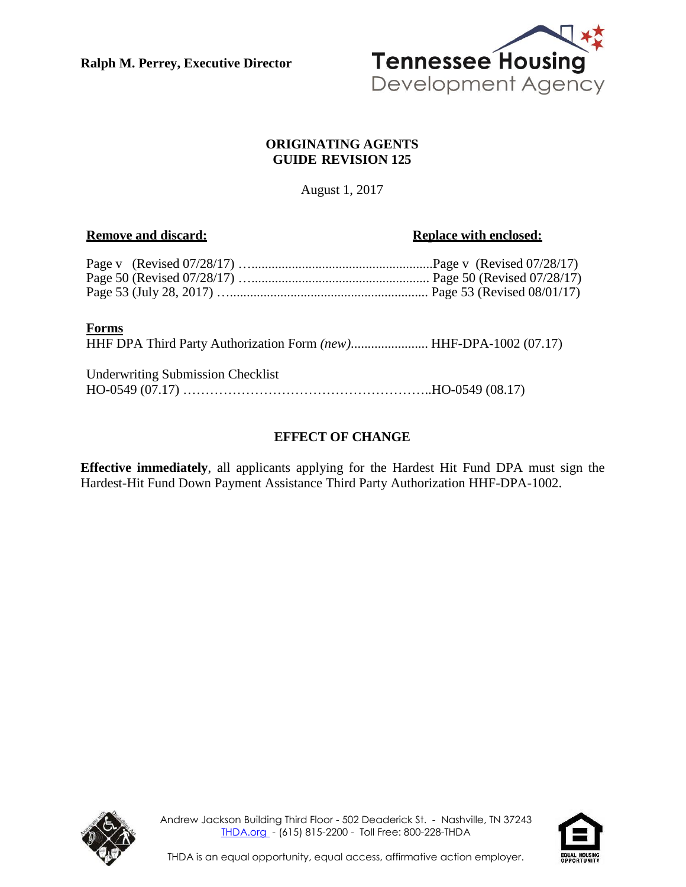**Ralph M. Perrey, Executive Director**



#### **ORIGINATING AGENTS GUIDE REVISION 125**

August 1, 2017

#### **Remove** and discard: **Replace** with **enclosed: Replace** with **enclosed:**

#### **Forms**

HHF DPA Third Party Authorization Form *(new)*....................... HHF-DPA-1002 (07.17)

| <b>Underwriting Submission Checklist</b> |  |
|------------------------------------------|--|
|                                          |  |

### **EFFECT OF CHANGE**

**Effective immediately**, all applicants applying for the Hardest Hit Fund DPA must sign the Hardest-Hit Fund Down Payment Assistance Third Party Authorization HHF-DPA-1002.



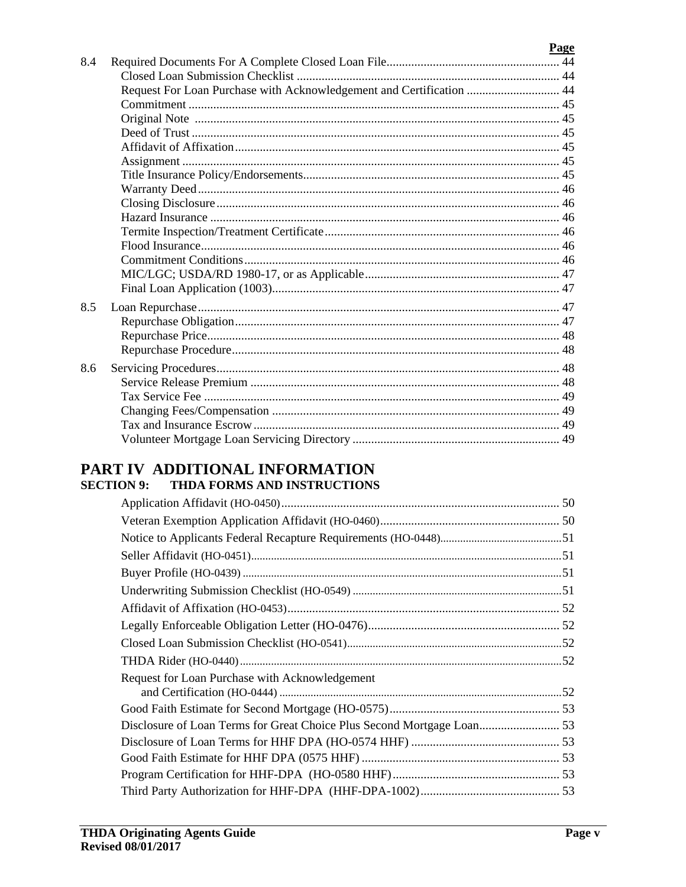|     |                                                                      | Page |
|-----|----------------------------------------------------------------------|------|
| 8.4 |                                                                      |      |
|     |                                                                      |      |
|     | Request For Loan Purchase with Acknowledgement and Certification  44 |      |
|     |                                                                      |      |
|     |                                                                      |      |
|     |                                                                      |      |
|     |                                                                      |      |
|     |                                                                      |      |
|     |                                                                      |      |
|     |                                                                      |      |
|     |                                                                      |      |
|     |                                                                      |      |
|     |                                                                      |      |
|     |                                                                      |      |
|     |                                                                      |      |
|     |                                                                      |      |
|     |                                                                      |      |
| 8.5 |                                                                      |      |
|     |                                                                      |      |
|     |                                                                      |      |
|     |                                                                      |      |
| 8.6 |                                                                      |      |
|     |                                                                      |      |
|     |                                                                      |      |
|     |                                                                      |      |
|     |                                                                      |      |
|     |                                                                      |      |

## PART IV ADDITIONAL INFORMATION **SECTION 9: THDA FORMS AND INSTRUCTIONS**

| Request for Loan Purchase with Acknowledgement |  |
|------------------------------------------------|--|
|                                                |  |
|                                                |  |
|                                                |  |
|                                                |  |
|                                                |  |
|                                                |  |
|                                                |  |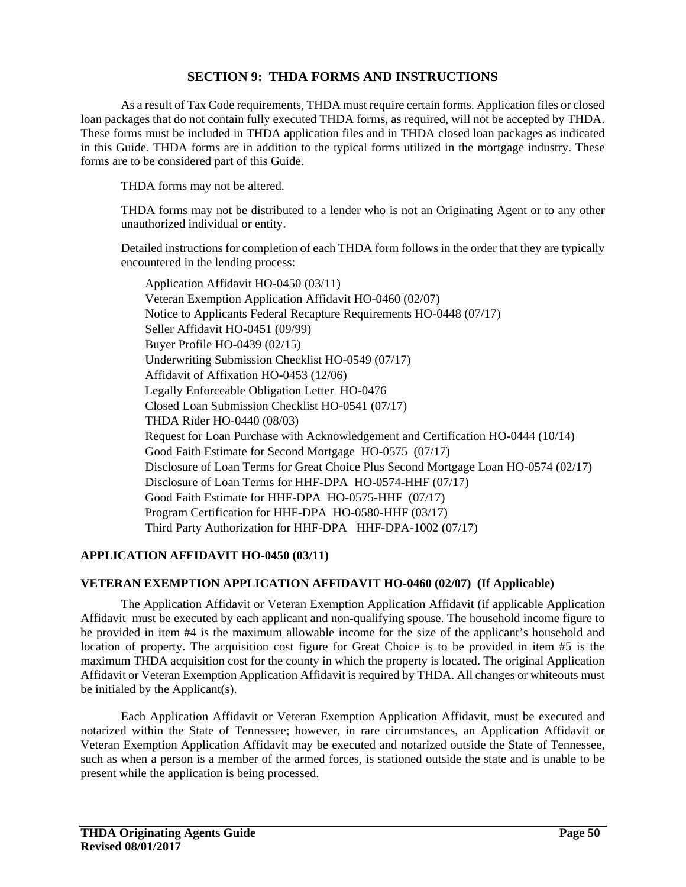#### **SECTION 9: THDA FORMS AND INSTRUCTIONS**

As a result of Tax Code requirements, THDA must require certain forms. Application files or closed loan packages that do not contain fully executed THDA forms, as required, will not be accepted by THDA. These forms must be included in THDA application files and in THDA closed loan packages as indicated in this Guide. THDA forms are in addition to the typical forms utilized in the mortgage industry. These forms are to be considered part of this Guide.

THDA forms may not be altered.

THDA forms may not be distributed to a lender who is not an Originating Agent or to any other unauthorized individual or entity.

Detailed instructions for completion of each THDA form follows in the order that they are typically encountered in the lending process:

Application Affidavit HO-0450 (03/11) Veteran Exemption Application Affidavit HO-0460 (02/07) Notice to Applicants Federal Recapture Requirements HO-0448 (07/17) Seller Affidavit HO-0451 (09/99) Buyer Profile HO-0439 (02/15) Underwriting Submission Checklist HO-0549 (07/17) Affidavit of Affixation HO-0453 (12/06) Legally Enforceable Obligation Letter HO-0476 Closed Loan Submission Checklist HO-0541 (07/17) THDA Rider HO-0440 (08/03) Request for Loan Purchase with Acknowledgement and Certification HO-0444 (10/14) Good Faith Estimate for Second Mortgage HO-0575 (07/17) Disclosure of Loan Terms for Great Choice Plus Second Mortgage Loan HO-0574 (02/17) Disclosure of Loan Terms for HHF-DPA HO-0574-HHF (07/17) Good Faith Estimate for HHF-DPA HO-0575-HHF (07/17) Program Certification for HHF-DPA HO-0580-HHF (03/17) Third Party Authorization for HHF-DPA HHF-DPA-1002 (07/17)

#### **APPLICATION AFFIDAVIT HO-0450 (03/11)**

#### **VETERAN EXEMPTION APPLICATION AFFIDAVIT HO-0460 (02/07) (If Applicable)**

The Application Affidavit or Veteran Exemption Application Affidavit (if applicable Application Affidavit must be executed by each applicant and non-qualifying spouse. The household income figure to be provided in item #4 is the maximum allowable income for the size of the applicant's household and location of property. The acquisition cost figure for Great Choice is to be provided in item #5 is the maximum THDA acquisition cost for the county in which the property is located. The original Application Affidavit or Veteran Exemption Application Affidavit is required by THDA. All changes or whiteouts must be initialed by the Applicant(s).

Each Application Affidavit or Veteran Exemption Application Affidavit, must be executed and notarized within the State of Tennessee; however, in rare circumstances, an Application Affidavit or Veteran Exemption Application Affidavit may be executed and notarized outside the State of Tennessee, such as when a person is a member of the armed forces, is stationed outside the state and is unable to be present while the application is being processed.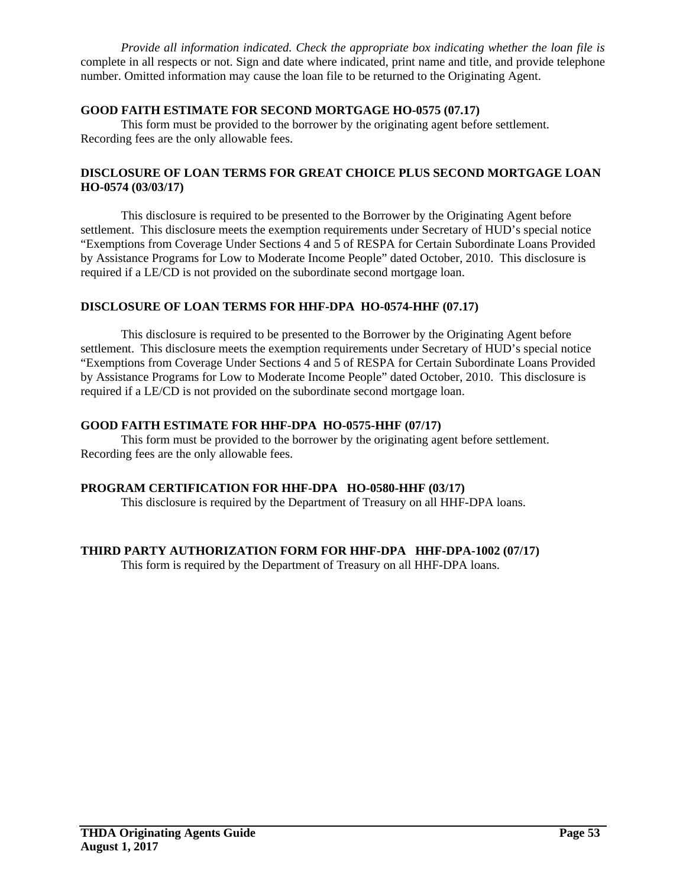*Provide all information indicated. Check the appropriate box indicating whether the loan file is* complete in all respects or not. Sign and date where indicated, print name and title, and provide telephone number. Omitted information may cause the loan file to be returned to the Originating Agent.

#### **GOOD FAITH ESTIMATE FOR SECOND MORTGAGE HO-0575 (07.17)**

This form must be provided to the borrower by the originating agent before settlement. Recording fees are the only allowable fees.

#### **DISCLOSURE OF LOAN TERMS FOR GREAT CHOICE PLUS SECOND MORTGAGE LOAN HO-0574 (03/03/17)**

This disclosure is required to be presented to the Borrower by the Originating Agent before settlement. This disclosure meets the exemption requirements under Secretary of HUD's special notice "Exemptions from Coverage Under Sections 4 and 5 of RESPA for Certain Subordinate Loans Provided by Assistance Programs for Low to Moderate Income People" dated October, 2010. This disclosure is required if a LE/CD is not provided on the subordinate second mortgage loan.

#### **DISCLOSURE OF LOAN TERMS FOR HHF-DPA HO-0574-HHF (07.17)**

This disclosure is required to be presented to the Borrower by the Originating Agent before settlement. This disclosure meets the exemption requirements under Secretary of HUD's special notice "Exemptions from Coverage Under Sections 4 and 5 of RESPA for Certain Subordinate Loans Provided by Assistance Programs for Low to Moderate Income People" dated October, 2010. This disclosure is required if a LE/CD is not provided on the subordinate second mortgage loan.

#### **GOOD FAITH ESTIMATE FOR HHF-DPA HO-0575-HHF (07/17)**

This form must be provided to the borrower by the originating agent before settlement. Recording fees are the only allowable fees.

#### **PROGRAM CERTIFICATION FOR HHF-DPA HO-0580-HHF (03/17)**

This disclosure is required by the Department of Treasury on all HHF-DPA loans.

#### **THIRD PARTY AUTHORIZATION FORM FOR HHF-DPA HHF-DPA-1002 (07/17)**

This form is required by the Department of Treasury on all HHF-DPA loans.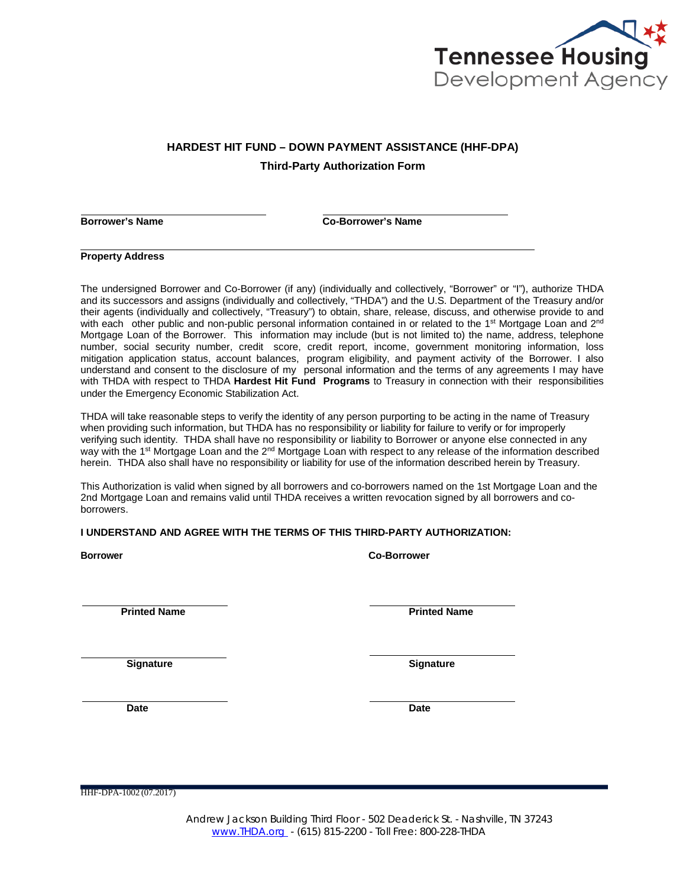

# **HARDEST HIT FUND – DOWN PAYMENT ASSISTANCE (HHF-DPA)**

**Third-Party Authorization Form**

**Borrower's Name Co-Borrower's Name**

**Property Address**

The undersigned Borrower and Co-Borrower (if any) (individually and collectively, "Borrower" or "I"), authorize THDA and its successors and assigns (individually and collectively, "THDA") and the U.S. Department of the Treasury and/or their agents (individually and collectively, "Treasury") to obtain, share, release, discuss, and otherwise provide to and with each other public and non-public personal information contained in or related to the 1<sup>st</sup> Mortgage Loan and 2<sup>nd</sup> Mortgage Loan of the Borrower. This information may include (but is not limited to) the name, address, telephone number, social security number, credit score, credit report, income, government monitoring information, loss mitigation application status, account balances, program eligibility, and payment activity of the Borrower. I also understand and consent to the disclosure of my personal information and the terms of any agreements I may have with THDA with respect to THDA **Hardest Hit Fund Programs** to Treasury in connection with their responsibilities under the Emergency Economic Stabilization Act.

THDA will take reasonable steps to verify the identity of any person purporting to be acting in the name of Treasury when providing such information, but THDA has no responsibility or liability for failure to verify or for improperly verifying such identity. THDA shall have no responsibility or liability to Borrower or anyone else connected in any way with the 1<sup>st</sup> Mortgage Loan and the 2<sup>nd</sup> Mortgage Loan with respect to any release of the information described herein. THDA also shall have no responsibility or liability for use of the information described herein by Treasury.

This Authorization is valid when signed by all borrowers and co-borrowers named on the 1st Mortgage Loan and the 2nd Mortgage Loan and remains valid until THDA receives a written revocation signed by all borrowers and coborrowers.

#### **I UNDERSTAND AND AGREE WITH THE TERMS OF THIS THIRD-PARTY AUTHORIZATION:**

| <b>Borrower</b>     | <b>Co-Borrower</b>  |  |
|---------------------|---------------------|--|
| <b>Printed Name</b> | <b>Printed Name</b> |  |
| <b>Signature</b>    | <b>Signature</b>    |  |

**Date Date**

HHF-DPA-1002 (07.2017)